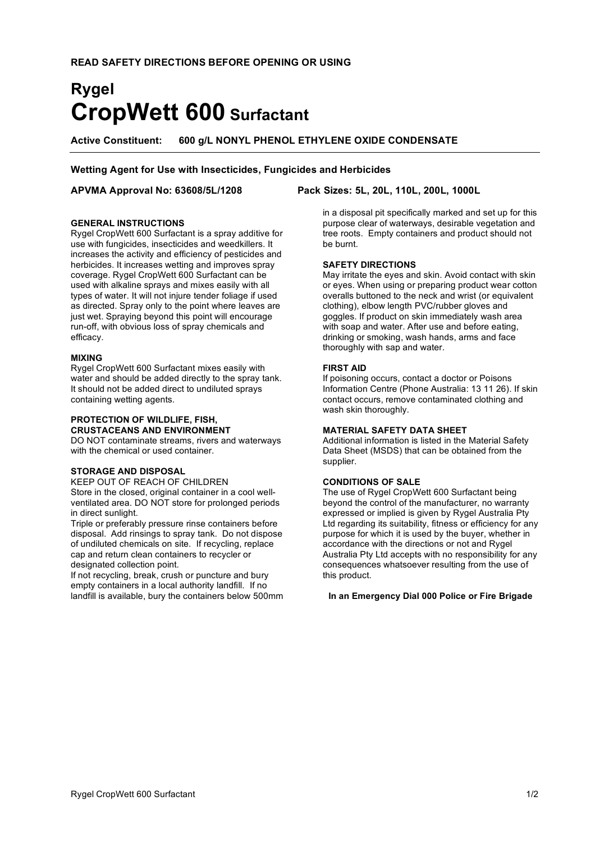# **Rygel CropWett 600 Surfactant**

**Active Constituent: 600 g/L NONYL PHENOL ETHYLENE OXIDE CONDENSATE**

# **Wetting Agent for Use with Insecticides, Fungicides and Herbicides**

# **GENERAL INSTRUCTIONS**

Rygel CropWett 600 Surfactant is a spray additive for use with fungicides, insecticides and weedkillers. It increases the activity and efficiency of pesticides and herbicides. It increases wetting and improves spray coverage. Rygel CropWett 600 Surfactant can be used with alkaline sprays and mixes easily with all types of water. It will not injure tender foliage if used as directed. Spray only to the point where leaves are just wet. Spraying beyond this point will encourage run-off, with obvious loss of spray chemicals and efficacy.

### **MIXING**

Rygel CropWett 600 Surfactant mixes easily with water and should be added directly to the spray tank. It should not be added direct to undiluted sprays containing wetting agents.

# **PROTECTION OF WILDLIFE, FISH, CRUSTACEANS AND ENVIRONMENT**

DO NOT contaminate streams, rivers and waterways with the chemical or used container.

### **STORAGE AND DISPOSAL**

KEEP OUT OF REACH OF CHILDREN Store in the closed, original container in a cool wellventilated area. DO NOT store for prolonged periods in direct sunlight.

Triple or preferably pressure rinse containers before disposal. Add rinsings to spray tank. Do not dispose of undiluted chemicals on site. If recycling, replace cap and return clean containers to recycler or designated collection point.

If not recycling, break, crush or puncture and bury empty containers in a local authority landfill. If no landfill is available, bury the containers below 500mm

# **APVMA Approval No: 63608/5L/1208 Pack Sizes: 5L, 20L, 110L, 200L, 1000L**

in a disposal pit specifically marked and set up for this purpose clear of waterways, desirable vegetation and tree roots. Empty containers and product should not be burnt.

# **SAFETY DIRECTIONS**

May irritate the eyes and skin. Avoid contact with skin or eyes. When using or preparing product wear cotton overalls buttoned to the neck and wrist (or equivalent clothing), elbow length PVC/rubber gloves and goggles. If product on skin immediately wash area with soap and water. After use and before eating, drinking or smoking, wash hands, arms and face thoroughly with sap and water.

# **FIRST AID**

If poisoning occurs, contact a doctor or Poisons Information Centre (Phone Australia: 13 11 26). If skin contact occurs, remove contaminated clothing and wash skin thoroughly.

### **MATERIAL SAFETY DATA SHEET**

Additional information is listed in the Material Safety Data Sheet (MSDS) that can be obtained from the supplier.

# **CONDITIONS OF SALE**

The use of Rygel CropWett 600 Surfactant being beyond the control of the manufacturer, no warranty expressed or implied is given by Rygel Australia Pty Ltd regarding its suitability, fitness or efficiency for any purpose for which it is used by the buyer, whether in accordance with the directions or not and Rygel Australia Pty Ltd accepts with no responsibility for any consequences whatsoever resulting from the use of this product.

**In an Emergency Dial 000 Police or Fire Brigade**